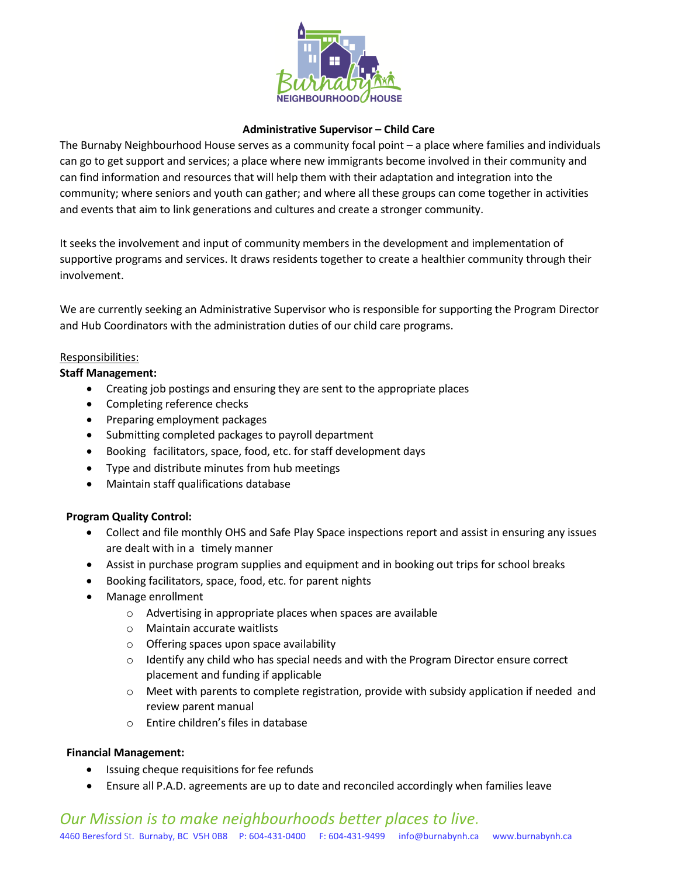

## **Administrative Supervisor – Child Care**

The Burnaby Neighbourhood House serves as a community focal point – a place where families and individuals can go to get support and services; a place where new immigrants become involved in their community and can find information and resources that will help them with their adaptation and integration into the community; where seniors and youth can gather; and where all these groups can come together in activities and events that aim to link generations and cultures and create a stronger community.

It seeks the involvement and input of community members in the development and implementation of supportive programs and services. It draws residents together to create a healthier community through their involvement.

We are currently seeking an Administrative Supervisor who is responsible for supporting the Program Director and Hub Coordinators with the administration duties of our child care programs.

## Responsibilities:

## **Staff Management:**

- Creating job postings and ensuring they are sent to the appropriate places
- Completing reference checks
- Preparing employment packages
- Submitting completed packages to payroll department
- Booking facilitators, space, food, etc. for staff development days
- Type and distribute minutes from hub meetings
- Maintain staff qualifications database

## **Program Quality Control:**

- Collect and file monthly OHS and Safe Play Space inspections report and assist in ensuring any issues are dealt with in a timely manner
- Assist in purchase program supplies and equipment and in booking out trips for school breaks
- Booking facilitators, space, food, etc. for parent nights
- Manage enrollment
	- o Advertising in appropriate places when spaces are available
	- o Maintain accurate waitlists
	- o Offering spaces upon space availability
	- o Identify any child who has special needs and with the Program Director ensure correct placement and funding if applicable
	- $\circ$  Meet with parents to complete registration, provide with subsidy application if needed and review parent manual
	- o Entire children's files in database

## **Financial Management:**

- Issuing cheque requisitions for fee refunds
- Ensure all P.A.D. agreements are up to date and reconciled accordingly when families leave

# *Our Mission is to make neighbourhoods better places to live.* 4460 Beresford St. Burnaby, BC V5H 0B8 P: 604-431-0400 F: 604-431-9499 info@burnabynh.ca www.burnabynh.ca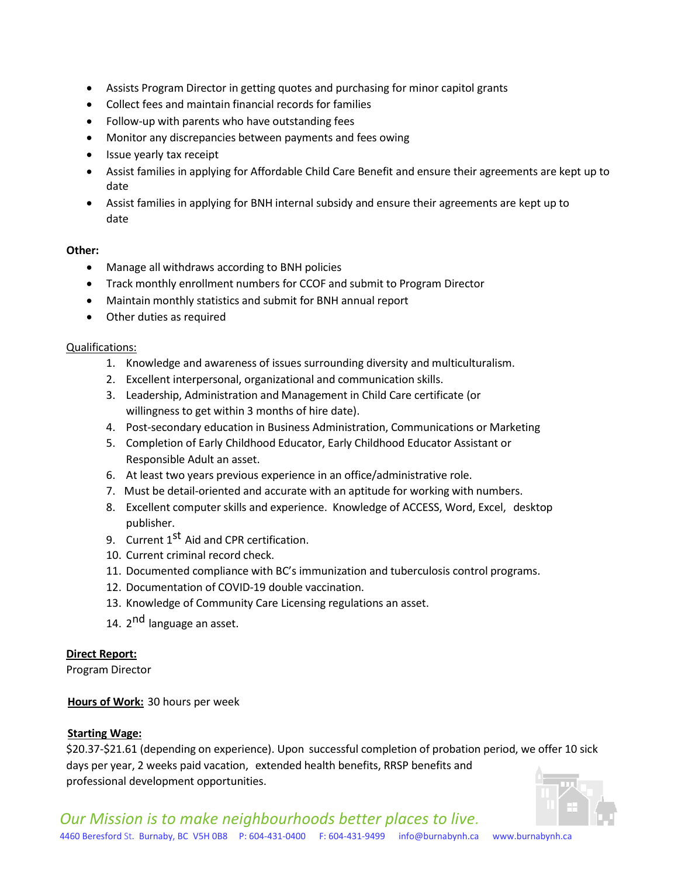- Assists Program Director in getting quotes and purchasing for minor capitol grants
- Collect fees and maintain financial records for families
- Follow-up with parents who have outstanding fees
- Monitor any discrepancies between payments and fees owing
- Issue yearly tax receipt
- Assist families in applying for Affordable Child Care Benefit and ensure their agreements are kept up to date
- Assist families in applying for BNH internal subsidy and ensure their agreements are kept up to date

## **Other:**

- Manage all withdraws according to BNH policies
- Track monthly enrollment numbers for CCOF and submit to Program Director
- Maintain monthly statistics and submit for BNH annual report
- Other duties as required

### Qualifications:

- 1. Knowledge and awareness of issues surrounding diversity and multiculturalism.
- 2. Excellent interpersonal, organizational and communication skills.
- 3. Leadership, Administration and Management in Child Care certificate (or willingness to get within 3 months of hire date).
- 4. Post-secondary education in Business Administration, Communications or Marketing
- 5. Completion of Early Childhood Educator, Early Childhood Educator Assistant or Responsible Adult an asset.
- 6. At least two years previous experience in an office/administrative role.
- 7. Must be detail-oriented and accurate with an aptitude for working with numbers.
- 8. Excellent computer skills and experience. Knowledge of ACCESS, Word, Excel, desktop publisher.
- 9. Current 1<sup>st</sup> Aid and CPR certification.
- 10. Current criminal record check.
- 11. Documented compliance with BC's immunization and tuberculosis control programs.
- 12. Documentation of COVID-19 double vaccination.
- 13. Knowledge of Community Care Licensing regulations an asset.
- 14. 2<sup>nd</sup> language an asset.

## **Direct Report:**

Program Director

## **Hours of Work:** 30 hours per week

## **Starting Wage:**

\$20.37-\$21.61 (depending on experience). Upon successful completion of probation period, we offer 10 sick days per year, 2 weeks paid vacation, extended health benefits, RRSP benefits and professional development opportunities.